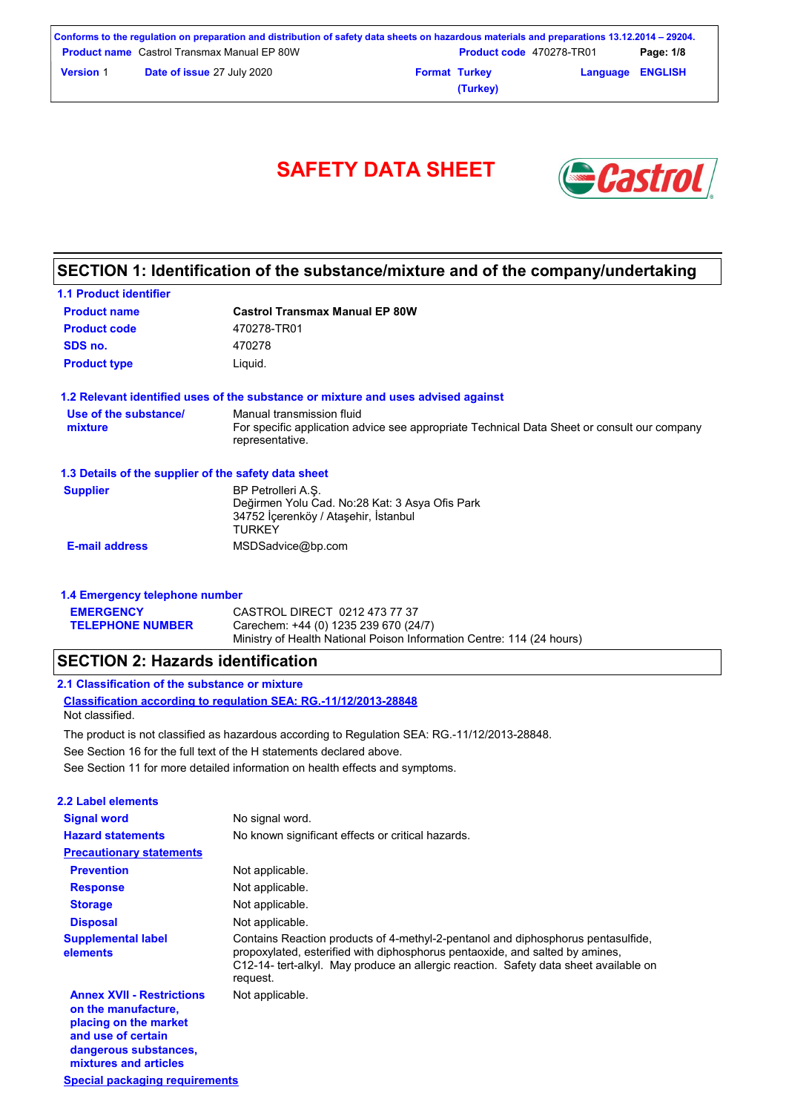| Conforms to the regulation on preparation and distribution of safety data sheets on hazardous materials and preparations 13.12.2014 – 29204. |                                                    |  |                                 |                         |           |
|----------------------------------------------------------------------------------------------------------------------------------------------|----------------------------------------------------|--|---------------------------------|-------------------------|-----------|
|                                                                                                                                              | <b>Product name</b> Castrol Transmax Manual EP 80W |  | <b>Product code</b> 470278-TR01 |                         | Page: 1/8 |
| <b>Version 1</b>                                                                                                                             | <b>Date of issue 27 July 2020</b>                  |  | <b>Format Turkey</b>            | <b>Language ENGLISH</b> |           |
|                                                                                                                                              |                                                    |  | (Turkey)                        |                         |           |



## **SECTION 1: Identification of the substance/mixture and of the company/undertaking**

| <b>1.1 Product identifier</b>                        |                                                                                                                                             |
|------------------------------------------------------|---------------------------------------------------------------------------------------------------------------------------------------------|
| <b>Product name</b>                                  | <b>Castrol Transmax Manual EP 80W</b>                                                                                                       |
| <b>Product code</b>                                  | 470278-TR01                                                                                                                                 |
| SDS no.                                              | 470278                                                                                                                                      |
| <b>Product type</b>                                  | Liquid.                                                                                                                                     |
|                                                      | 1.2 Relevant identified uses of the substance or mixture and uses advised against                                                           |
| Use of the substance/<br>mixture                     | Manual transmission fluid<br>For specific application advice see appropriate Technical Data Sheet or consult our company<br>representative. |
| 1.3 Details of the supplier of the safety data sheet |                                                                                                                                             |
| <b>Supplier</b>                                      | BP Petrolleri A.S.<br>Değirmen Yolu Cad. No:28 Kat: 3 Asya Ofis Park<br>34752 İcerenköy / Ataşehir, İstanbul<br><b>TURKEY</b>               |
| <b>E-mail address</b>                                | MSDSadvice@bp.com                                                                                                                           |

| <b>1.4 Emergency telephone number</b> |                                                                       |  |  |  |
|---------------------------------------|-----------------------------------------------------------------------|--|--|--|
| <b>EMERGENCY</b>                      | CASTROL DIRECT 0212 473 77 37                                         |  |  |  |
| <b>TELEPHONE NUMBER</b>               | Carechem: +44 (0) 1235 239 670 (24/7)                                 |  |  |  |
|                                       | Ministry of Health National Poison Information Centre: 114 (24 hours) |  |  |  |

### **SECTION 2: Hazards identification**

**1.4 Emergency telephone number**

**Special packaging requirements**

**mixtures and articles**

| 2.1 Classification of the substance or mixture                                      |  |
|-------------------------------------------------------------------------------------|--|
| Classification according to regulation SEA: RG.-11/12/2013-28848<br>Not classified. |  |

The product is not classified as hazardous according to Regulation SEA: RG.-11/12/2013-28848.

See Section 16 for the full text of the H statements declared above.

See Section 11 for more detailed information on health effects and symptoms.

| 2.2 Label elements                                                                                                              |                                                                                                                                                                                                                                                                      |
|---------------------------------------------------------------------------------------------------------------------------------|----------------------------------------------------------------------------------------------------------------------------------------------------------------------------------------------------------------------------------------------------------------------|
| <b>Signal word</b>                                                                                                              | No signal word.                                                                                                                                                                                                                                                      |
| <b>Hazard statements</b>                                                                                                        | No known significant effects or critical hazards.                                                                                                                                                                                                                    |
| <b>Precautionary statements</b>                                                                                                 |                                                                                                                                                                                                                                                                      |
| <b>Prevention</b>                                                                                                               | Not applicable.                                                                                                                                                                                                                                                      |
| <b>Response</b>                                                                                                                 | Not applicable.                                                                                                                                                                                                                                                      |
| <b>Storage</b>                                                                                                                  | Not applicable.                                                                                                                                                                                                                                                      |
| <b>Disposal</b>                                                                                                                 | Not applicable.                                                                                                                                                                                                                                                      |
| <b>Supplemental label</b><br>elements                                                                                           | Contains Reaction products of 4-methyl-2-pentanol and diphosphorus pentasulfide,<br>propoxylated, esterified with diphosphorus pentaoxide, and salted by amines,<br>C12-14- tert-alkyl. May produce an allergic reaction. Safety data sheet available on<br>request. |
| <b>Annex XVII - Restrictions</b><br>on the manufacture,<br>placing on the market<br>and use of certain<br>dangerous substances, | Not applicable.                                                                                                                                                                                                                                                      |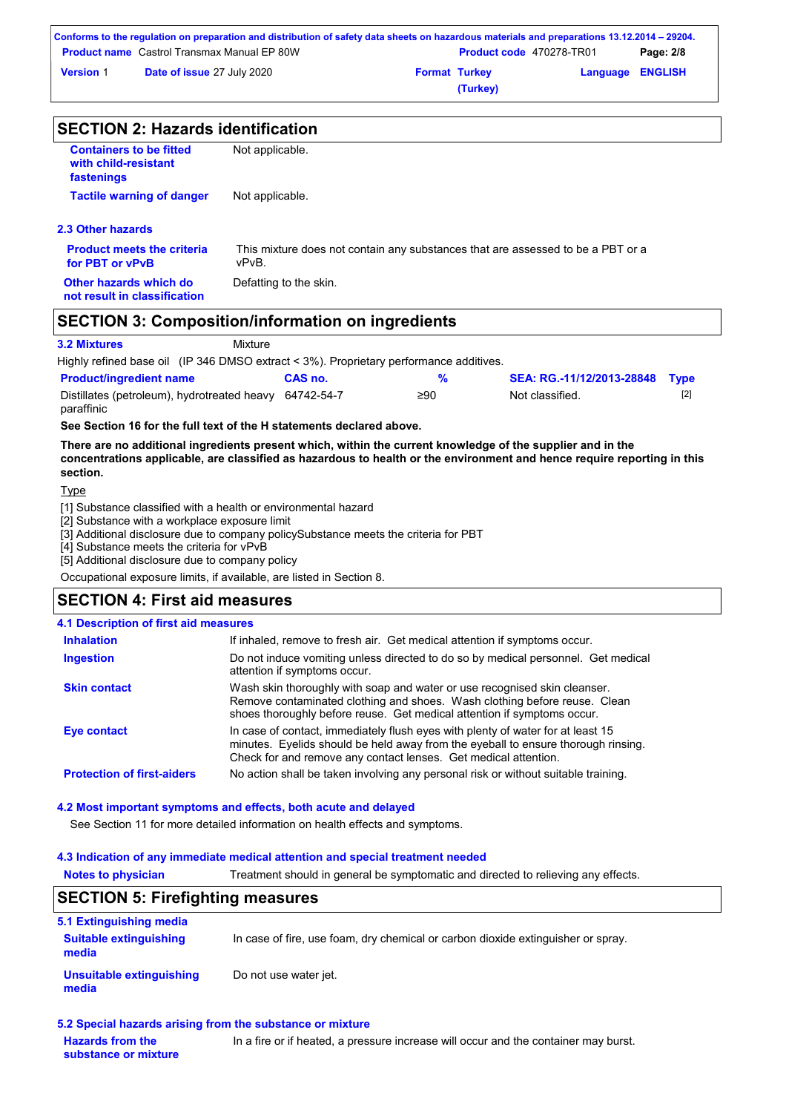|                  | Conforms to the regulation on preparation and distribution of safety data sheets on hazardous materials and preparations 13.12.2014 – 29204. |                      |                                 |                         |           |
|------------------|----------------------------------------------------------------------------------------------------------------------------------------------|----------------------|---------------------------------|-------------------------|-----------|
|                  | <b>Product name</b> Castrol Transmax Manual EP 80W                                                                                           |                      | <b>Product code</b> 470278-TR01 |                         | Page: 2/8 |
| <b>Version 1</b> | Date of issue 27 July 2020                                                                                                                   | <b>Format Turkey</b> |                                 | <b>Language ENGLISH</b> |           |
|                  |                                                                                                                                              |                      | (Turkey)                        |                         |           |

| <b>SECTION 2: Hazards identification</b>                             |                                                                                          |  |  |  |
|----------------------------------------------------------------------|------------------------------------------------------------------------------------------|--|--|--|
| <b>Containers to be fitted</b><br>with child-resistant<br>fastenings | Not applicable.                                                                          |  |  |  |
| <b>Tactile warning of danger</b>                                     | Not applicable.                                                                          |  |  |  |
| 2.3 Other hazards                                                    |                                                                                          |  |  |  |
| <b>Product meets the criteria</b><br>for PBT or vPvB                 | This mixture does not contain any substances that are assessed to be a PBT or a<br>vPvB. |  |  |  |
| Other hazards which do<br>not result in classification               | Defatting to the skin.                                                                   |  |  |  |
| <b>SECTION 3: Composition/information on ingredients</b>             |                                                                                          |  |  |  |

#### **3.2 Mixtures** Mixture

Highly refined base oil (IP 346 DMSO extract < 3%). Proprietary performance additives.

| <b>Product/ingredient name</b>                         | CAS no. |     | SEA: RG.-11/12/2013-28848 Type |  |
|--------------------------------------------------------|---------|-----|--------------------------------|--|
| Distillates (petroleum), hydrotreated heavy 64742-54-7 |         | ≥90 | Not classified.                |  |
| paraffinic                                             |         |     |                                |  |

**See Section 16 for the full text of the H statements declared above.**

**There are no additional ingredients present which, within the current knowledge of the supplier and in the concentrations applicable, are classified as hazardous to health or the environment and hence require reporting in this section.**

### Type

[1] Substance classified with a health or environmental hazard

[2] Substance with a workplace exposure limit

[3] Additional disclosure due to company policySubstance meets the criteria for PBT

[4] Substance meets the criteria for vPvB

[5] Additional disclosure due to company policy

Occupational exposure limits, if available, are listed in Section 8.

### **SECTION 4: First aid measures**

#### **4.1 Description of first aid measures**

| <b>Inhalation</b>                 | If inhaled, remove to fresh air. Get medical attention if symptoms occur.                                                                                                                                                               |
|-----------------------------------|-----------------------------------------------------------------------------------------------------------------------------------------------------------------------------------------------------------------------------------------|
| <b>Ingestion</b>                  | Do not induce vomiting unless directed to do so by medical personnel. Get medical<br>attention if symptoms occur.                                                                                                                       |
| <b>Skin contact</b>               | Wash skin thoroughly with soap and water or use recognised skin cleanser.<br>Remove contaminated clothing and shoes. Wash clothing before reuse. Clean<br>shoes thoroughly before reuse. Get medical attention if symptoms occur.       |
| Eye contact                       | In case of contact, immediately flush eyes with plenty of water for at least 15<br>minutes. Eyelids should be held away from the eyeball to ensure thorough rinsing.<br>Check for and remove any contact lenses. Get medical attention. |
| <b>Protection of first-aiders</b> | No action shall be taken involving any personal risk or without suitable training.                                                                                                                                                      |

#### **4.2 Most important symptoms and effects, both acute and delayed**

See Section 11 for more detailed information on health effects and symptoms.

#### **4.3 Indication of any immediate medical attention and special treatment needed**

**Notes to physician** Treatment should in general be symptomatic and directed to relieving any effects.

### **SECTION 5: Firefighting measures**

| 5.1 Extinguishing media                |                                                                                  |
|----------------------------------------|----------------------------------------------------------------------------------|
| <b>Suitable extinguishing</b><br>media | In case of fire, use foam, dry chemical or carbon dioxide extinguisher or spray. |
| Unsuitable extinguishing<br>media      | Do not use water jet.                                                            |

#### **5.2 Special hazards arising from the substance or mixture**

**Hazards from the substance or mixture** In a fire or if heated, a pressure increase will occur and the container may burst.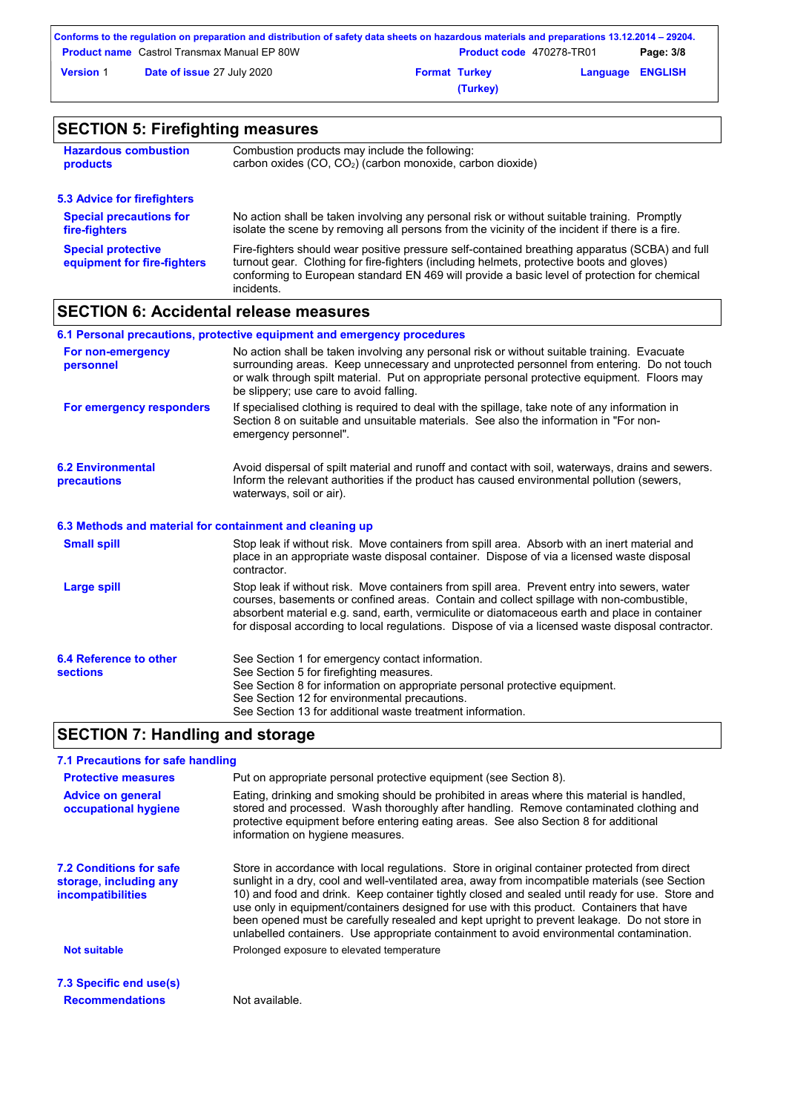|                  | Conforms to the regulation on preparation and distribution of safety data sheets on hazardous materials and preparations 13.12.2014 – 29204. |                      |                                 |                         |           |
|------------------|----------------------------------------------------------------------------------------------------------------------------------------------|----------------------|---------------------------------|-------------------------|-----------|
|                  | <b>Product name</b> Castrol Transmax Manual EP 80W                                                                                           |                      | <b>Product code</b> 470278-TR01 |                         | Page: 3/8 |
| <b>Version 1</b> | Date of issue 27 July 2020                                                                                                                   | <b>Format Turkey</b> |                                 | <b>Language ENGLISH</b> |           |
|                  |                                                                                                                                              |                      | (Turkey)                        |                         |           |

| <b>SECTION 5: Firefighting measures</b>                  |                                                                                                                                                                                                                                                                                                           |  |  |  |
|----------------------------------------------------------|-----------------------------------------------------------------------------------------------------------------------------------------------------------------------------------------------------------------------------------------------------------------------------------------------------------|--|--|--|
| <b>Hazardous combustion</b><br>products                  | Combustion products may include the following:<br>carbon oxides (CO, CO <sub>2</sub> ) (carbon monoxide, carbon dioxide)                                                                                                                                                                                  |  |  |  |
| 5.3 Advice for firefighters                              |                                                                                                                                                                                                                                                                                                           |  |  |  |
| <b>Special precautions for</b><br>fire-fighters          | No action shall be taken involving any personal risk or without suitable training. Promptly<br>isolate the scene by removing all persons from the vicinity of the incident if there is a fire.                                                                                                            |  |  |  |
| <b>Special protective</b><br>equipment for fire-fighters | Fire-fighters should wear positive pressure self-contained breathing apparatus (SCBA) and full<br>turnout gear. Clothing for fire-fighters (including helmets, protective boots and gloves)<br>conforming to European standard EN 469 will provide a basic level of protection for chemical<br>incidents. |  |  |  |

# **SECTION 6: Accidental release measures**

|                                                          | 6.1 Personal precautions, protective equipment and emergency procedures                                                                                                                                                                                                                                                                                                                        |
|----------------------------------------------------------|------------------------------------------------------------------------------------------------------------------------------------------------------------------------------------------------------------------------------------------------------------------------------------------------------------------------------------------------------------------------------------------------|
| For non-emergency<br>personnel                           | No action shall be taken involving any personal risk or without suitable training. Evacuate<br>surrounding areas. Keep unnecessary and unprotected personnel from entering. Do not touch<br>or walk through spilt material. Put on appropriate personal protective equipment. Floors may<br>be slippery; use care to avoid falling.                                                            |
| For emergency responders                                 | If specialised clothing is required to deal with the spillage, take note of any information in<br>Section 8 on suitable and unsuitable materials. See also the information in "For non-<br>emergency personnel".                                                                                                                                                                               |
| <b>6.2 Environmental</b><br>precautions                  | Avoid dispersal of spilt material and runoff and contact with soil, waterways, drains and sewers.<br>Inform the relevant authorities if the product has caused environmental pollution (sewers,<br>waterways, soil or air).                                                                                                                                                                    |
| 6.3 Methods and material for containment and cleaning up |                                                                                                                                                                                                                                                                                                                                                                                                |
| <b>Small spill</b>                                       | Stop leak if without risk. Move containers from spill area. Absorb with an inert material and<br>place in an appropriate waste disposal container. Dispose of via a licensed waste disposal<br>contractor.                                                                                                                                                                                     |
| <b>Large spill</b>                                       | Stop leak if without risk. Move containers from spill area. Prevent entry into sewers, water<br>courses, basements or confined areas. Contain and collect spillage with non-combustible,<br>absorbent material e.g. sand, earth, vermiculite or diatomaceous earth and place in container<br>for disposal according to local regulations. Dispose of via a licensed waste disposal contractor. |
| 6.4 Reference to other<br><b>sections</b>                | See Section 1 for emergency contact information.<br>See Section 5 for firefighting measures.<br>See Section 8 for information on appropriate personal protective equipment.<br>See Section 12 for environmental precautions.<br>See Section 13 for additional waste treatment information.                                                                                                     |

# **SECTION 7: Handling and storage**

| 7.1 Precautions for safe handling                                                    |                                                                                                                                                                                                                                                                                                                                                                                                                                                                                                                                                                                             |
|--------------------------------------------------------------------------------------|---------------------------------------------------------------------------------------------------------------------------------------------------------------------------------------------------------------------------------------------------------------------------------------------------------------------------------------------------------------------------------------------------------------------------------------------------------------------------------------------------------------------------------------------------------------------------------------------|
| <b>Protective measures</b>                                                           | Put on appropriate personal protective equipment (see Section 8).                                                                                                                                                                                                                                                                                                                                                                                                                                                                                                                           |
| <b>Advice on general</b><br>occupational hygiene                                     | Eating, drinking and smoking should be prohibited in areas where this material is handled,<br>stored and processed. Wash thoroughly after handling. Remove contaminated clothing and<br>protective equipment before entering eating areas. See also Section 8 for additional<br>information on hygiene measures.                                                                                                                                                                                                                                                                            |
| <b>7.2 Conditions for safe</b><br>storage, including any<br><b>incompatibilities</b> | Store in accordance with local regulations. Store in original container protected from direct<br>sunlight in a dry, cool and well-ventilated area, away from incompatible materials (see Section<br>10) and food and drink. Keep container tightly closed and sealed until ready for use. Store and<br>use only in equipment/containers designed for use with this product. Containers that have<br>been opened must be carefully resealed and kept upright to prevent leakage. Do not store in<br>unlabelled containers. Use appropriate containment to avoid environmental contamination. |
| <b>Not suitable</b>                                                                  | Prolonged exposure to elevated temperature                                                                                                                                                                                                                                                                                                                                                                                                                                                                                                                                                  |
| 7.3 Specific end use(s)                                                              |                                                                                                                                                                                                                                                                                                                                                                                                                                                                                                                                                                                             |
| <b>Recommendations</b>                                                               | Not available.                                                                                                                                                                                                                                                                                                                                                                                                                                                                                                                                                                              |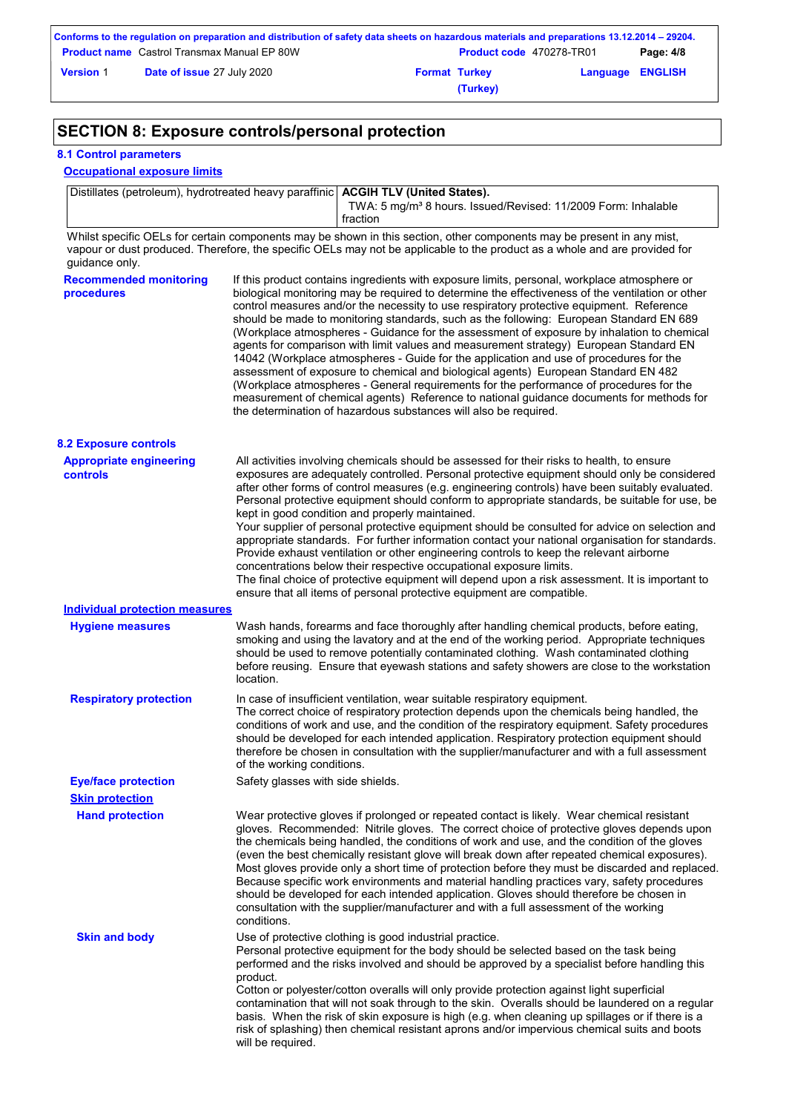| Conforms to the regulation on preparation and distribution of safety data sheets on hazardous materials and preparations 13.12.2014 – 29204. |                                                    |  |                                 |                         |           |
|----------------------------------------------------------------------------------------------------------------------------------------------|----------------------------------------------------|--|---------------------------------|-------------------------|-----------|
|                                                                                                                                              | <b>Product name</b> Castrol Transmax Manual EP 80W |  | <b>Product code</b> 470278-TR01 |                         | Page: 4/8 |
| <b>Version 1</b>                                                                                                                             | <b>Date of issue 27 July 2020</b>                  |  | <b>Format Turkey</b>            | <b>Language ENGLISH</b> |           |
|                                                                                                                                              |                                                    |  | (Turkey)                        |                         |           |

# **SECTION 8: Exposure controls/personal protection**

### **8.1 Control parameters**

#### **Occupational exposure limits**

Distillates (petroleum), hydrotreated heavy paraffinic **ACGIH TLV (United States).** TWA: 5 mg/m<sup>3</sup> 8 hours. Issued/Revised: 11/2009 Form: Inhalable

fraction

Whilst specific OELs for certain components may be shown in this section, other components may be present in any mist, vapour or dust produced. Therefore, the specific OELs may not be applicable to the product as a whole and are provided for guidance only.

| <b>Recommended monitoring</b><br>procedures | If this product contains ingredients with exposure limits, personal, workplace atmosphere or<br>biological monitoring may be required to determine the effectiveness of the ventilation or other<br>control measures and/or the necessity to use respiratory protective equipment. Reference<br>should be made to monitoring standards, such as the following: European Standard EN 689<br>(Workplace atmospheres - Guidance for the assessment of exposure by inhalation to chemical<br>agents for comparison with limit values and measurement strategy) European Standard EN<br>14042 (Workplace atmospheres - Guide for the application and use of procedures for the<br>assessment of exposure to chemical and biological agents) European Standard EN 482<br>(Workplace atmospheres - General requirements for the performance of procedures for the<br>measurement of chemical agents) Reference to national guidance documents for methods for<br>the determination of hazardous substances will also be required. |
|---------------------------------------------|----------------------------------------------------------------------------------------------------------------------------------------------------------------------------------------------------------------------------------------------------------------------------------------------------------------------------------------------------------------------------------------------------------------------------------------------------------------------------------------------------------------------------------------------------------------------------------------------------------------------------------------------------------------------------------------------------------------------------------------------------------------------------------------------------------------------------------------------------------------------------------------------------------------------------------------------------------------------------------------------------------------------------|
| <b>8.2 Exposure controls</b>                |                                                                                                                                                                                                                                                                                                                                                                                                                                                                                                                                                                                                                                                                                                                                                                                                                                                                                                                                                                                                                            |
| <b>Appropriate engineering</b><br>controls  | All activities involving chemicals should be assessed for their risks to health, to ensure<br>exposures are adequately controlled. Personal protective equipment should only be considered<br>after other forms of control measures (e.g. engineering controls) have been suitably evaluated.<br>Personal protective equipment should conform to appropriate standards, be suitable for use, be<br>kept in good condition and properly maintained.<br>Your supplier of personal protective equipment should be consulted for advice on selection and<br>appropriate standards. For further information contact your national organisation for standards.<br>Provide exhaust ventilation or other engineering controls to keep the relevant airborne<br>concentrations below their respective occupational exposure limits.<br>The final choice of protective equipment will depend upon a risk assessment. It is important to<br>ensure that all items of personal protective equipment are compatible.                    |
| <b>Individual protection measures</b>       |                                                                                                                                                                                                                                                                                                                                                                                                                                                                                                                                                                                                                                                                                                                                                                                                                                                                                                                                                                                                                            |
| <b>Hygiene measures</b>                     | Wash hands, forearms and face thoroughly after handling chemical products, before eating,<br>smoking and using the lavatory and at the end of the working period. Appropriate techniques<br>should be used to remove potentially contaminated clothing. Wash contaminated clothing<br>before reusing. Ensure that eyewash stations and safety showers are close to the workstation<br>location.                                                                                                                                                                                                                                                                                                                                                                                                                                                                                                                                                                                                                            |
| <b>Respiratory protection</b>               | In case of insufficient ventilation, wear suitable respiratory equipment.<br>The correct choice of respiratory protection depends upon the chemicals being handled, the<br>conditions of work and use, and the condition of the respiratory equipment. Safety procedures<br>should be developed for each intended application. Respiratory protection equipment should<br>therefore be chosen in consultation with the supplier/manufacturer and with a full assessment<br>of the working conditions.                                                                                                                                                                                                                                                                                                                                                                                                                                                                                                                      |
| <b>Eye/face protection</b>                  | Safety glasses with side shields.                                                                                                                                                                                                                                                                                                                                                                                                                                                                                                                                                                                                                                                                                                                                                                                                                                                                                                                                                                                          |
| <b>Skin protection</b>                      |                                                                                                                                                                                                                                                                                                                                                                                                                                                                                                                                                                                                                                                                                                                                                                                                                                                                                                                                                                                                                            |
| <b>Hand protection</b>                      | Wear protective gloves if prolonged or repeated contact is likely. Wear chemical resistant<br>gloves. Recommended: Nitrile gloves. The correct choice of protective gloves depends upon<br>the chemicals being handled, the conditions of work and use, and the condition of the gloves<br>(even the best chemically resistant glove will break down after repeated chemical exposures).<br>Most gloves provide only a short time of protection before they must be discarded and replaced.<br>Because specific work environments and material handling practices vary, safety procedures<br>should be developed for each intended application. Gloves should therefore be chosen in<br>consultation with the supplier/manufacturer and with a full assessment of the working<br>conditions.                                                                                                                                                                                                                               |
| <b>Skin and body</b>                        | Use of protective clothing is good industrial practice.<br>Personal protective equipment for the body should be selected based on the task being<br>performed and the risks involved and should be approved by a specialist before handling this<br>product.<br>Cotton or polyester/cotton overalls will only provide protection against light superficial<br>contamination that will not soak through to the skin. Overalls should be laundered on a regular<br>basis. When the risk of skin exposure is high (e.g. when cleaning up spillages or if there is a<br>risk of splashing) then chemical resistant aprons and/or impervious chemical suits and boots<br>will be required.                                                                                                                                                                                                                                                                                                                                      |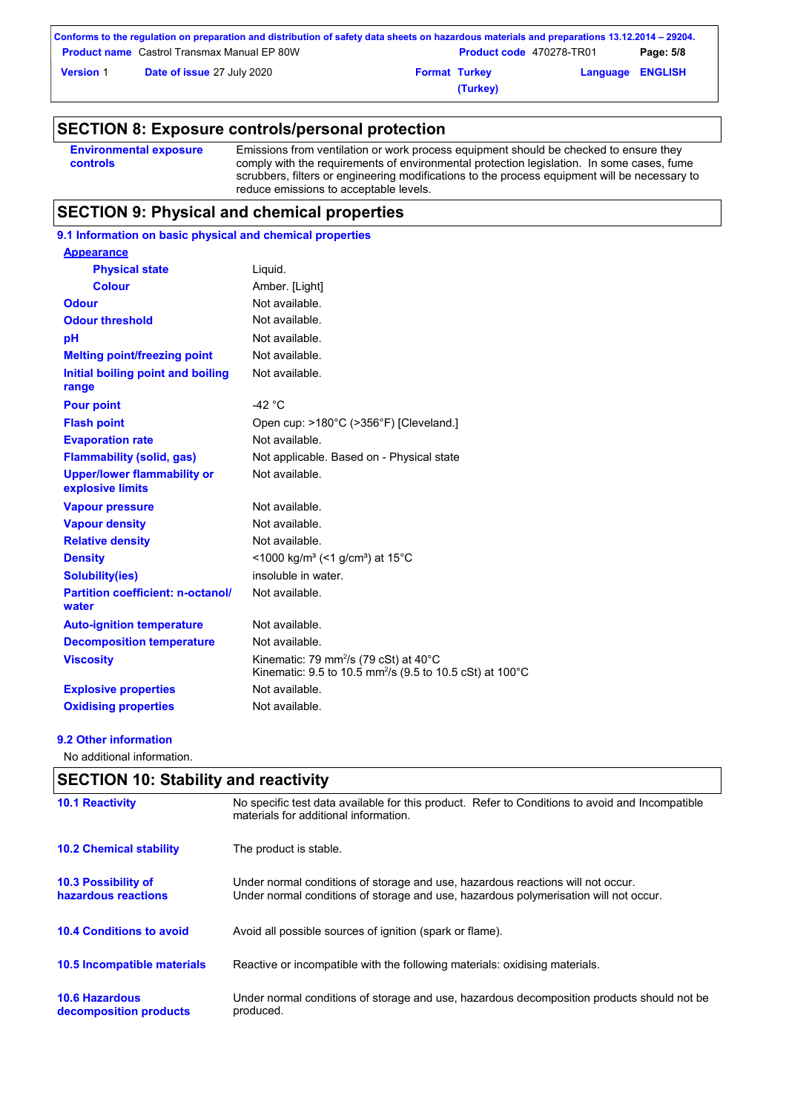| Conforms to the regulation on preparation and distribution of safety data sheets on hazardous materials and preparations 13.12.2014 – 29204. |                                                    |                      |                                 |                         |           |
|----------------------------------------------------------------------------------------------------------------------------------------------|----------------------------------------------------|----------------------|---------------------------------|-------------------------|-----------|
|                                                                                                                                              | <b>Product name</b> Castrol Transmax Manual EP 80W |                      | <b>Product code</b> 470278-TR01 |                         | Page: 5/8 |
| <b>Version 1</b>                                                                                                                             | <b>Date of issue 27 July 2020</b>                  | <b>Format Turkey</b> |                                 | <b>Language ENGLISH</b> |           |
|                                                                                                                                              |                                                    |                      | (Turkey)                        |                         |           |

### **SECTION 8: Exposure controls/personal protection**

| <b>Environmental exposure</b> | Emissions from ventilation or work process equipment should be checked to ensure they         |
|-------------------------------|-----------------------------------------------------------------------------------------------|
| controls                      | comply with the requirements of environmental protection legislation. In some cases, fume     |
|                               | scrubbers, filters or engineering modifications to the process equipment will be necessary to |
|                               | reduce emissions to acceptable levels.                                                        |

### **SECTION 9: Physical and chemical properties**

### **9.1 Information on basic physical and chemical properties**

| <b>Appearance</b>                                      |                                                                                                                                     |
|--------------------------------------------------------|-------------------------------------------------------------------------------------------------------------------------------------|
| <b>Physical state</b>                                  | Liquid.                                                                                                                             |
| <b>Colour</b>                                          | Amber. [Light]                                                                                                                      |
| <b>Odour</b>                                           | Not available.                                                                                                                      |
| <b>Odour threshold</b>                                 | Not available.                                                                                                                      |
| pH                                                     | Not available.                                                                                                                      |
| <b>Melting point/freezing point</b>                    | Not available.                                                                                                                      |
| Initial boiling point and boiling<br>range             | Not available.                                                                                                                      |
| <b>Pour point</b>                                      | -42 $^{\circ}$ C                                                                                                                    |
| <b>Flash point</b>                                     | Open cup: >180°C (>356°F) [Cleveland.]                                                                                              |
| <b>Evaporation rate</b>                                | Not available.                                                                                                                      |
| <b>Flammability (solid, gas)</b>                       | Not applicable. Based on - Physical state                                                                                           |
| <b>Upper/lower flammability or</b><br>explosive limits | Not available.                                                                                                                      |
| <b>Vapour pressure</b>                                 | Not available.                                                                                                                      |
| <b>Vapour density</b>                                  | Not available.                                                                                                                      |
| <b>Relative density</b>                                | Not available.                                                                                                                      |
| <b>Density</b>                                         | <1000 kg/m <sup>3</sup> (<1 g/cm <sup>3</sup> ) at 15 <sup>°</sup> C                                                                |
| <b>Solubility(ies)</b>                                 | insoluble in water.                                                                                                                 |
| <b>Partition coefficient: n-octanol/</b><br>water      | Not available.                                                                                                                      |
| <b>Auto-ignition temperature</b>                       | Not available.                                                                                                                      |
| <b>Decomposition temperature</b>                       | Not available.                                                                                                                      |
| <b>Viscosity</b>                                       | Kinematic: 79 mm <sup>2</sup> /s (79 cSt) at $40^{\circ}$ C<br>Kinematic: 9.5 to 10.5 mm <sup>2</sup> /s (9.5 to 10.5 cSt) at 100°C |
| <b>Explosive properties</b>                            | Not available.                                                                                                                      |
| <b>Oxidising properties</b>                            | Not available.                                                                                                                      |
|                                                        |                                                                                                                                     |

#### **9.2 Other information**

No additional information.

### **10.6 Hazardous decomposition products 10.4 Conditions to avoid** Avoid all possible sources of ignition (spark or flame). Under normal conditions of storage and use, hazardous decomposition products should not be produced. **10.2 Chemical stability** The product is stable. **10.5 Incompatible materials 10.3 Possibility of hazardous reactions** Under normal conditions of storage and use, hazardous reactions will not occur. Under normal conditions of storage and use, hazardous polymerisation will not occur. **SECTION 10: Stability and reactivity 10.1 Reactivity** No specific test data available for this product. Refer to Conditions to avoid and Incompatible materials for additional information. Reactive or incompatible with the following materials: oxidising materials.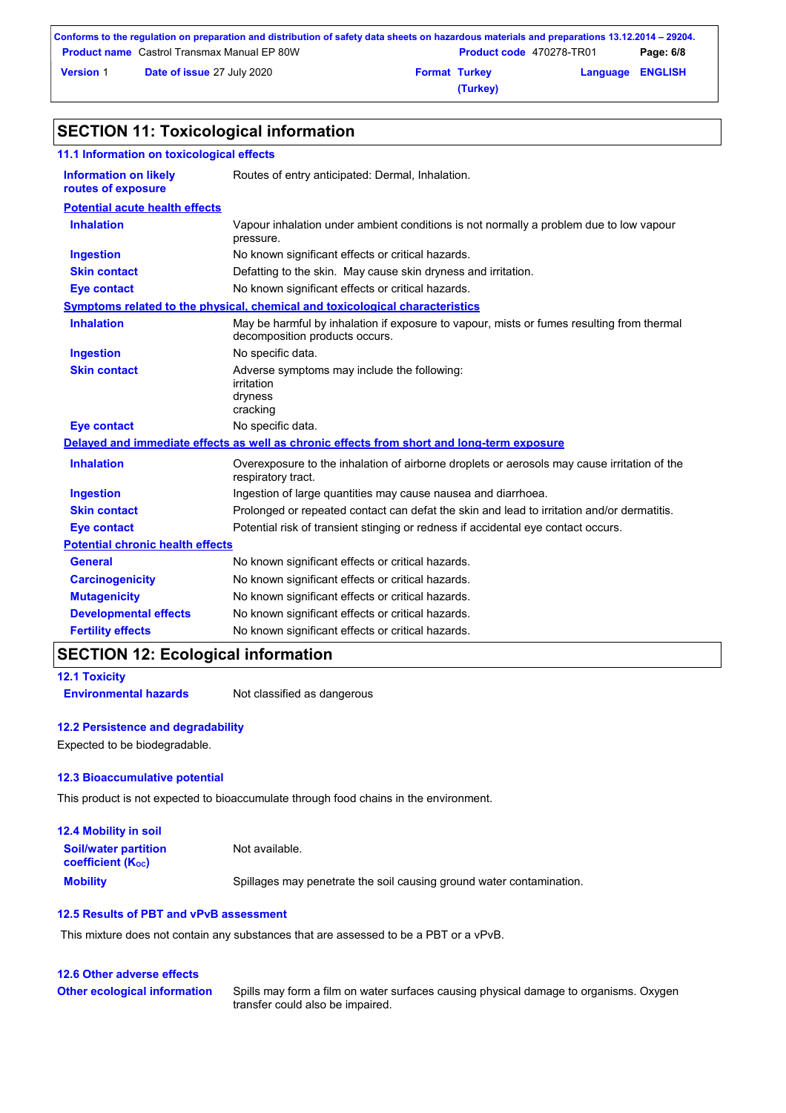| Conforms to the regulation on preparation and distribution of safety data sheets on hazardous materials and preparations 13.12.2014 – 29204. |                                                    |                      |                                 |                         |           |
|----------------------------------------------------------------------------------------------------------------------------------------------|----------------------------------------------------|----------------------|---------------------------------|-------------------------|-----------|
|                                                                                                                                              | <b>Product name</b> Castrol Transmax Manual EP 80W |                      | <b>Product code</b> 470278-TR01 |                         | Page: 6/8 |
| <b>Version 1</b>                                                                                                                             | Date of issue 27 July 2020                         | <b>Format Turkey</b> |                                 | <b>Language ENGLISH</b> |           |
|                                                                                                                                              |                                                    |                      | (Turkey)                        |                         |           |

# **SECTION 11: Toxicological information**

| 11.1 Information on toxicological effects          |                                                                                                                             |
|----------------------------------------------------|-----------------------------------------------------------------------------------------------------------------------------|
| <b>Information on likely</b><br>routes of exposure | Routes of entry anticipated: Dermal, Inhalation.                                                                            |
| <b>Potential acute health effects</b>              |                                                                                                                             |
| <b>Inhalation</b>                                  | Vapour inhalation under ambient conditions is not normally a problem due to low vapour<br>pressure.                         |
| <b>Ingestion</b>                                   | No known significant effects or critical hazards.                                                                           |
| <b>Skin contact</b>                                | Defatting to the skin. May cause skin dryness and irritation.                                                               |
| <b>Eye contact</b>                                 | No known significant effects or critical hazards.                                                                           |
|                                                    | Symptoms related to the physical, chemical and toxicological characteristics                                                |
| <b>Inhalation</b>                                  | May be harmful by inhalation if exposure to vapour, mists or fumes resulting from thermal<br>decomposition products occurs. |
| <b>Ingestion</b>                                   | No specific data.                                                                                                           |
| <b>Skin contact</b>                                | Adverse symptoms may include the following:<br>irritation<br>dryness<br>cracking                                            |
| <b>Eye contact</b>                                 | No specific data.                                                                                                           |
|                                                    | Delayed and immediate effects as well as chronic effects from short and long-term exposure                                  |
| <b>Inhalation</b>                                  | Overexposure to the inhalation of airborne droplets or aerosols may cause irritation of the<br>respiratory tract.           |
| <b>Ingestion</b>                                   | Ingestion of large quantities may cause nausea and diarrhoea.                                                               |
| <b>Skin contact</b>                                | Prolonged or repeated contact can defat the skin and lead to irritation and/or dermatitis.                                  |
| <b>Eye contact</b>                                 | Potential risk of transient stinging or redness if accidental eye contact occurs.                                           |
| <b>Potential chronic health effects</b>            |                                                                                                                             |
| <b>General</b>                                     | No known significant effects or critical hazards.                                                                           |
| <b>Carcinogenicity</b>                             | No known significant effects or critical hazards.                                                                           |
| <b>Mutagenicity</b>                                | No known significant effects or critical hazards.                                                                           |
| <b>Developmental effects</b>                       | No known significant effects or critical hazards.                                                                           |
| <b>Fertility effects</b>                           | No known significant effects or critical hazards.                                                                           |
|                                                    |                                                                                                                             |

# **SECTION 12: Ecological information**

**12.1 Toxicity**

**Environmental hazards** Not classified as dangerous

### **12.2 Persistence and degradability**

Expected to be biodegradable.

#### **12.3 Bioaccumulative potential**

This product is not expected to bioaccumulate through food chains in the environment.

| <b>12.4 Mobility in soil</b>                            |                                                                      |
|---------------------------------------------------------|----------------------------------------------------------------------|
| <b>Soil/water partition</b><br><b>coefficient (Koc)</b> | Not available.                                                       |
| <b>Mobility</b>                                         | Spillages may penetrate the soil causing ground water contamination. |

### **12.5 Results of PBT and vPvB assessment**

This mixture does not contain any substances that are assessed to be a PBT or a vPvB.

### **12.6 Other adverse effects**

**Other ecological information**

Spills may form a film on water surfaces causing physical damage to organisms. Oxygen transfer could also be impaired.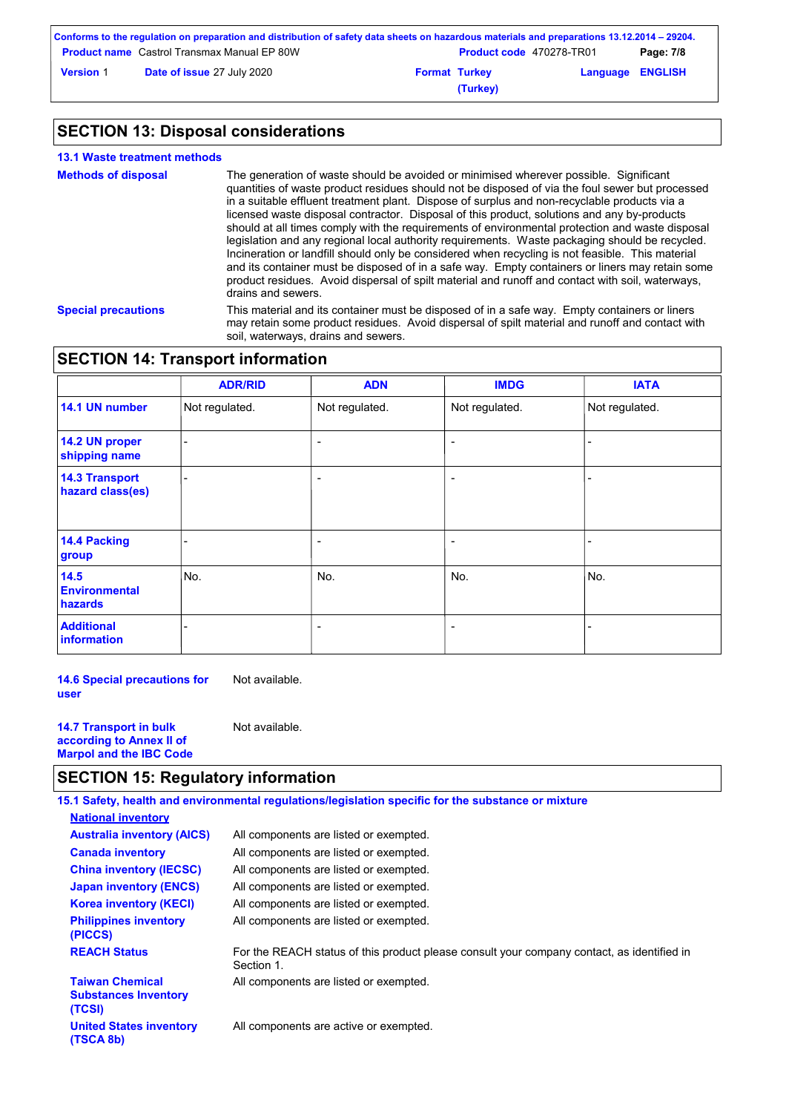| Conforms to the regulation on preparation and distribution of safety data sheets on hazardous materials and preparations 13.12.2014 – 29204. |                                                    |                      |                                 |                         |           |
|----------------------------------------------------------------------------------------------------------------------------------------------|----------------------------------------------------|----------------------|---------------------------------|-------------------------|-----------|
|                                                                                                                                              | <b>Product name</b> Castrol Transmax Manual EP 80W |                      | <b>Product code</b> 470278-TR01 |                         | Page: 7/8 |
| <b>Version 1</b>                                                                                                                             | <b>Date of issue 27 July 2020</b>                  | <b>Format Turkey</b> |                                 | <b>Language ENGLISH</b> |           |
|                                                                                                                                              |                                                    |                      | (Turkey)                        |                         |           |

# **SECTION 13: Disposal considerations**

| <b>13.1 Waste treatment methods</b> |                                                                                                                                                                                                                                                                                                                                                                                                                                                                                                                                                                                                                                                                                                                                                                                                                                                                                                                               |
|-------------------------------------|-------------------------------------------------------------------------------------------------------------------------------------------------------------------------------------------------------------------------------------------------------------------------------------------------------------------------------------------------------------------------------------------------------------------------------------------------------------------------------------------------------------------------------------------------------------------------------------------------------------------------------------------------------------------------------------------------------------------------------------------------------------------------------------------------------------------------------------------------------------------------------------------------------------------------------|
| <b>Methods of disposal</b>          | The generation of waste should be avoided or minimised wherever possible. Significant<br>quantities of waste product residues should not be disposed of via the foul sewer but processed<br>in a suitable effluent treatment plant. Dispose of surplus and non-recyclable products via a<br>licensed waste disposal contractor. Disposal of this product, solutions and any by-products<br>should at all times comply with the requirements of environmental protection and waste disposal<br>legislation and any regional local authority reguirements. Waste packaging should be recycled.<br>Incineration or landfill should only be considered when recycling is not feasible. This material<br>and its container must be disposed of in a safe way. Empty containers or liners may retain some<br>product residues. Avoid dispersal of spilt material and runoff and contact with soil, waterways,<br>drains and sewers. |
| <b>Special precautions</b>          | This material and its container must be disposed of in a safe way. Empty containers or liners<br>may retain some product residues. Avoid dispersal of spilt material and runoff and contact with<br>soil, waterways, drains and sewers.                                                                                                                                                                                                                                                                                                                                                                                                                                                                                                                                                                                                                                                                                       |

# **SECTION 14: Transport information**

|                                           | <b>ADR/RID</b> | <b>ADN</b>               | <b>IMDG</b>              | <b>IATA</b>    |
|-------------------------------------------|----------------|--------------------------|--------------------------|----------------|
| 14.1 UN number                            | Not regulated. | Not regulated.           | Not regulated.           | Not regulated. |
| 14.2 UN proper<br>shipping name           |                | $\overline{\phantom{a}}$ | $\overline{\phantom{0}}$ |                |
| <b>14.3 Transport</b><br>hazard class(es) |                | $\overline{\phantom{0}}$ |                          |                |
| 14.4 Packing<br>group                     |                | $\overline{\phantom{0}}$ |                          |                |
| 14.5<br><b>Environmental</b><br>hazards   | No.            | No.                      | No.                      | No.            |
| <b>Additional</b><br>information          |                | $\overline{\phantom{0}}$ | $\overline{\phantom{0}}$ | -              |

**14.6 Special precautions for user** Not available.

**14.7 Transport in bulk according to Annex II of Marpol and the IBC Code** Not available.

# **SECTION 15: Regulatory information**

|                                                                 | 15.1 Safety, health and environmental regulations/legislation specific for the substance or mixture      |
|-----------------------------------------------------------------|----------------------------------------------------------------------------------------------------------|
| <b>National inventory</b>                                       |                                                                                                          |
| <b>Australia inventory (AICS)</b>                               | All components are listed or exempted.                                                                   |
| <b>Canada inventory</b>                                         | All components are listed or exempted.                                                                   |
| <b>China inventory (IECSC)</b>                                  | All components are listed or exempted.                                                                   |
| <b>Japan inventory (ENCS)</b>                                   | All components are listed or exempted.                                                                   |
| <b>Korea inventory (KECI)</b>                                   | All components are listed or exempted.                                                                   |
| <b>Philippines inventory</b><br>(PICCS)                         | All components are listed or exempted.                                                                   |
| <b>REACH Status</b>                                             | For the REACH status of this product please consult your company contact, as identified in<br>Section 1. |
| <b>Taiwan Chemical</b><br><b>Substances Inventory</b><br>(TCSI) | All components are listed or exempted.                                                                   |
| <b>United States inventory</b><br>(TSCA 8b)                     | All components are active or exempted.                                                                   |